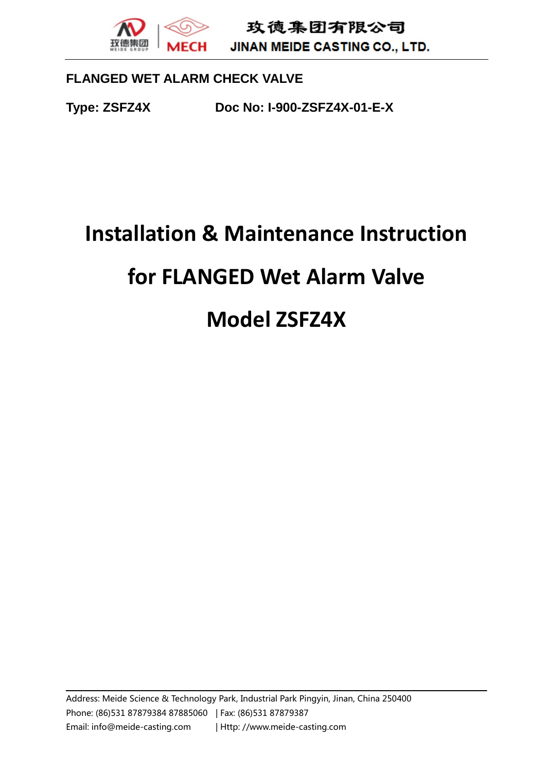JINAN MEIDE CASTING CO., LTD.

## **FLANGED WET ALARM CHECK VALVE**

**Type: ZSFZ4X Doc No: I-900-ZSFZ4X-01-E-X**

# **Installation & Maintenance Instruction for FLANGED Wet Alarm Valve Model ZSFZ4X**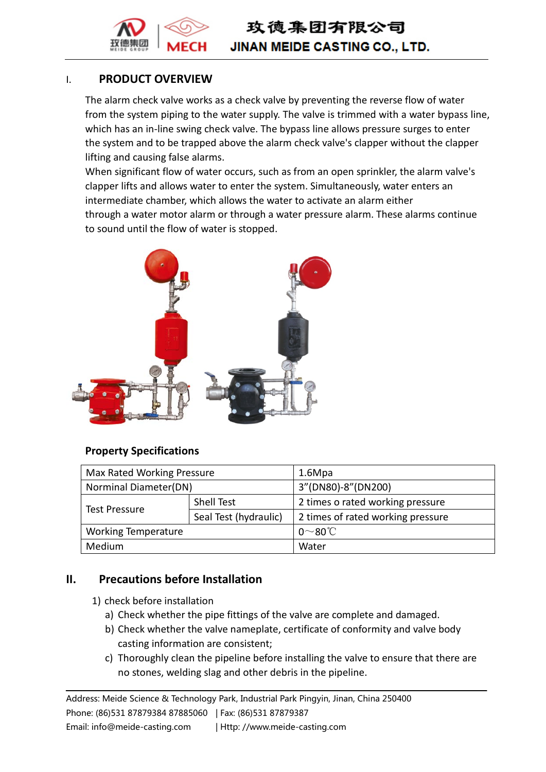

玫德集团有限公司 **JINAN MEIDE CASTING CO., LTD.** 

## I. **PRODUCT OVERVIEW**

The alarm check valve works as a check valve by preventing the reverse flow of water from the system piping to the water supply. The valve is trimmed with a water bypass line, which has an in-line swing check valve. The bypass line allows pressure surges to enter the system and to be trapped above the alarm check valve's clapper without the clapper lifting and causing false alarms.

When significant flow of water occurs, such as from an open sprinkler, the alarm valve's clapper lifts and allows water to enter the system. Simultaneously, water enters an intermediate chamber, which allows the water to activate an alarm either through a water motor alarm or through a water pressure alarm. These alarms continue to sound until the flow of water is stopped.



## **Property Specifications**

| Max Rated Working Pressure |                       | 1.6Mpa                            |  |
|----------------------------|-----------------------|-----------------------------------|--|
| Norminal Diameter(DN)      |                       | 3"(DN80)-8"(DN200)                |  |
| <b>Test Pressure</b>       | Shell Test            | 2 times o rated working pressure  |  |
|                            | Seal Test (hydraulic) | 2 times of rated working pressure |  |
| <b>Working Temperature</b> |                       | $0^\sim 80^\circ C$               |  |
| Medium                     |                       | Water                             |  |

## **II. Precautions before Installation**

- 1) check before installation
	- a) Check whether the pipe fittings of the valve are complete and damaged.
	- b) Check whether the valve nameplate, certificate of conformity and valve body casting information are consistent;
	- c) Thoroughly clean the pipeline before installing the valve to ensure that there are no stones, welding slag and other debris in the pipeline.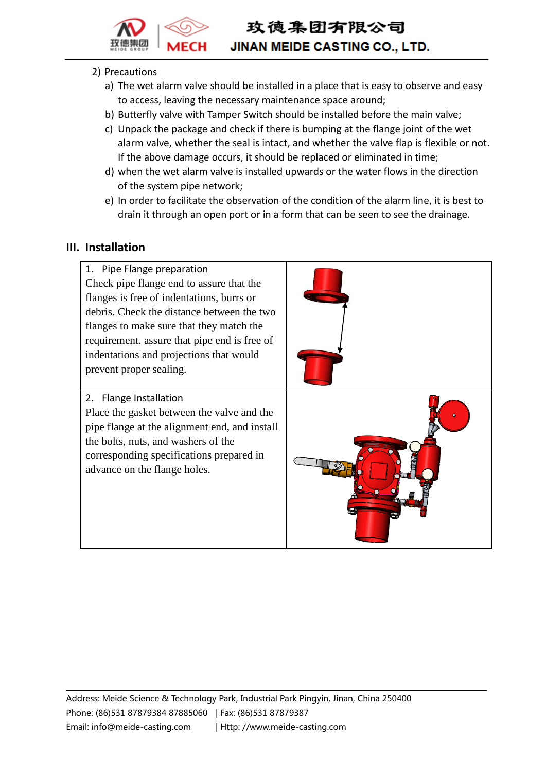

## **JINAN MEIDE CASTING CO., LTD.**

#### 2) Precautions

- a) The wet alarm valve should be installed in a place that is easy to observe and easy to access, leaving the necessary maintenance space around;
- b) Butterfly valve with Tamper Switch should be installed before the main valve;
- c) Unpack the package and check if there is bumping at the flange joint of the wet alarm valve, whether the seal is intact, and whether the valve flap is flexible or not. If the above damage occurs, it should be replaced or eliminated in time;
- d) when the wet alarm valve is installed upwards or the water flows in the direction of the system pipe network;
- e) In order to facilitate the observation of the condition of the alarm line, it is best to drain it through an open port or in a form that can be seen to see the drainage.

## **III. Installation**

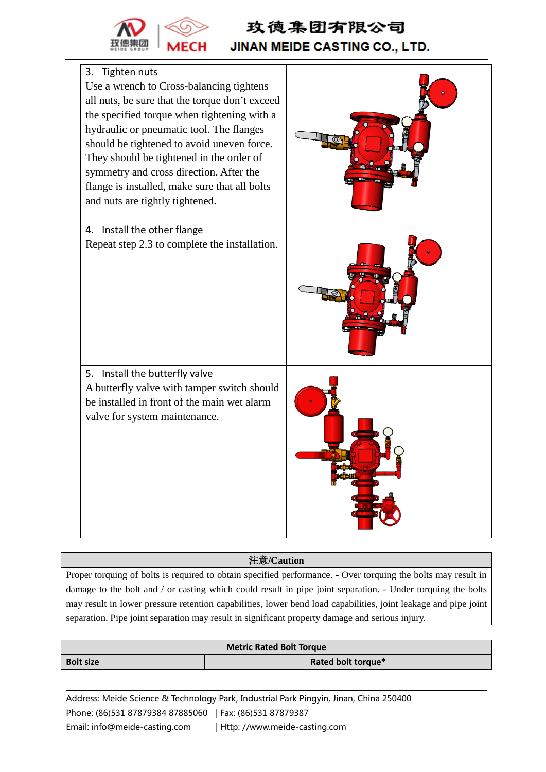

## 玫德集团有限公司 **JINAN MEIDE CASTING CO., LTD.**



#### 注意**/Caution**

Proper torquing of bolts is required to obtain specified performance. - Over torquing the bolts may result in damage to the bolt and / or casting which could result in pipe joint separation. - Under torquing the bolts may result in lower pressure retention capabilities, lower bend load capabilities, joint leakage and pipe joint separation. Pipe joint separation may result in significant property damage and serious injury.

#### **Metric Rated Bolt Torque Bolt size Rated bolt torque\***

Address: Meide Science & Technology Park, Industrial Park Pingyin, Jinan, China 250400 Phone: (86)531 87879384 87885060 | Fax: (86)531 87879387

Email: info@meide-casting.com | Http: //www.meide-casting.com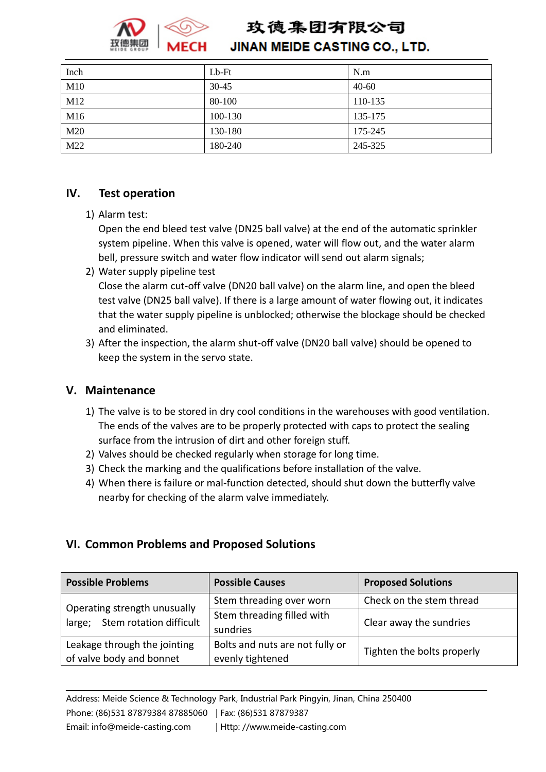

## **JINAN MEIDE CASTING CO., LTD.**

| Inch | $Lb$ - $Ft$ | N.m       |
|------|-------------|-----------|
| M10  | $30 - 45$   | $40 - 60$ |
| M12  | 80-100      | 110-135   |
| M16  | 100-130     | 135-175   |
| M20  | 130-180     | 175-245   |
| M22  | 180-240     | 245-325   |

## **IV. Test operation**

1) Alarm test:

Open the end bleed test valve (DN25 ball valve) at the end of the automatic sprinkler system pipeline. When this valve is opened, water will flow out, and the water alarm bell, pressure switch and water flow indicator will send out alarm signals;

- 2) Water supply pipeline test Close the alarm cut-off valve (DN20 ball valve) on the alarm line, and open the bleed test valve (DN25 ball valve). If there is a large amount of water flowing out, it indicates that the water supply pipeline is unblocked; otherwise the blockage should be checked and eliminated.
- 3) After the inspection, the alarm shut-off valve (DN20 ball valve) should be opened to keep the system in the servo state.

## **V. Maintenance**

- 1) The valve is to be stored in dry cool conditions in the warehouses with good ventilation. The ends of the valves are to be properly protected with caps to protect the sealing surface from the intrusion of dirt and other foreign stuff.
- 2) Valves should be checked regularly when storage for long time.
- 3) Check the marking and the qualifications before installation of the valve.
- 4) When there is failure or mal-function detected, should shut down the butterfly valve nearby for checking of the alarm valve immediately.

## **VI. Common Problems and Proposed Solutions**

| <b>Possible Problems</b>                                          | <b>Possible Causes</b>                              | <b>Proposed Solutions</b>  |
|-------------------------------------------------------------------|-----------------------------------------------------|----------------------------|
| Operating strength unusually<br>Stem rotation difficult<br>large; | Stem threading over worn                            | Check on the stem thread   |
|                                                                   | Stem threading filled with<br>sundries              | Clear away the sundries    |
| Leakage through the jointing<br>of valve body and bonnet          | Bolts and nuts are not fully or<br>evenly tightened | Tighten the bolts properly |